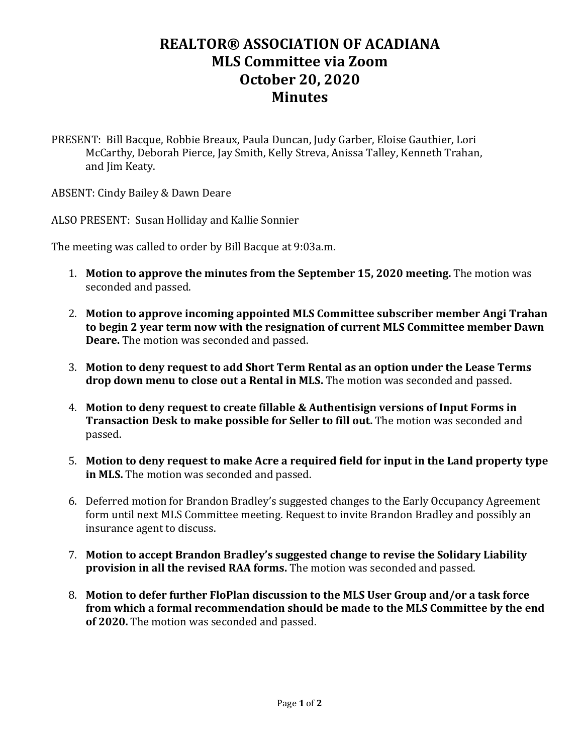## **REALTOR® ASSOCIATION OF ACADIANA MLS Committee via Zoom October 20, 2020 Minutes**

PRESENT: Bill Bacque, Robbie Breaux, Paula Duncan, Judy Garber, Eloise Gauthier, Lori McCarthy, Deborah Pierce, Jay Smith, Kelly Streva, Anissa Talley, Kenneth Trahan, and Jim Keaty.

ABSENT: Cindy Bailey & Dawn Deare

ALSO PRESENT: Susan Holliday and Kallie Sonnier

The meeting was called to order by Bill Bacque at 9:03a.m.

- 1. **Motion to approve the minutes from the September 15, 2020 meeting.** The motion was seconded and passed.
- 2. **Motion to approve incoming appointed MLS Committee subscriber member Angi Trahan to begin 2 year term now with the resignation of current MLS Committee member Dawn Deare.** The motion was seconded and passed.
- 3. **Motion to deny request to add Short Term Rental as an option under the Lease Terms drop down menu to close out a Rental in MLS.** The motion was seconded and passed.
- 4. **Motion to deny request to create fillable & Authentisign versions of Input Forms in Transaction Desk to make possible for Seller to fill out.** The motion was seconded and passed.
- 5. **Motion to deny request to make Acre a required field for input in the Land property type in MLS.** The motion was seconded and passed.
- 6. Deferred motion for Brandon Bradley's suggested changes to the Early Occupancy Agreement form until next MLS Committee meeting. Request to invite Brandon Bradley and possibly an insurance agent to discuss.
- 7. **Motion to accept Brandon Bradley's suggested change to revise the Solidary Liability provision in all the revised RAA forms.** The motion was seconded and passed.
- 8. **Motion to defer further FloPlan discussion to the MLS User Group and/or a task force from which a formal recommendation should be made to the MLS Committee by the end of 2020.** The motion was seconded and passed.